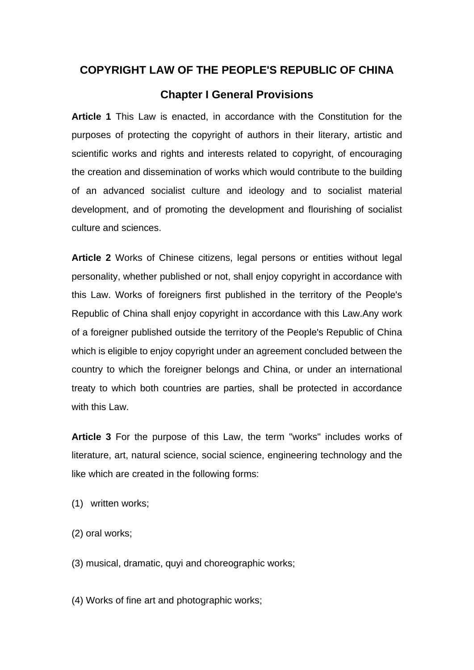## **COPYRIGHT LAW OF THE PEOPLE'S REPUBLIC OF CHINA**

## **Chapter I General Provisions**

**Article 1** This Law is enacted, in accordance with the Constitution for the purposes of protecting the copyright of authors in their literary, artistic and scientific works and rights and interests related to copyright, of encouraging the creation and dissemination of works which would contribute to the building of an advanced socialist culture and ideology and to socialist material development, and of promoting the development and flourishing of socialist culture and sciences.

**Article 2** Works of Chinese citizens, legal persons or entities without legal personality, whether published or not, shall enjoy copyright in accordance with this Law. Works of foreigners first published in the territory of the People's Republic of China shall enjoy copyright in accordance with this Law.Any work of a foreigner published outside the territory of the People's Republic of China which is eligible to enjoy copyright under an agreement concluded between the country to which the foreigner belongs and China, or under an international treaty to which both countries are parties, shall be protected in accordance with this Law

**Article 3** For the purpose of this Law, the term "works" includes works of literature, art, natural science, social science, engineering technology and the like which are created in the following forms:

- (1) written works;
- (2) oral works;
- (3) musical, dramatic, quyi and choreographic works;

(4) Works of fine art and photographic works;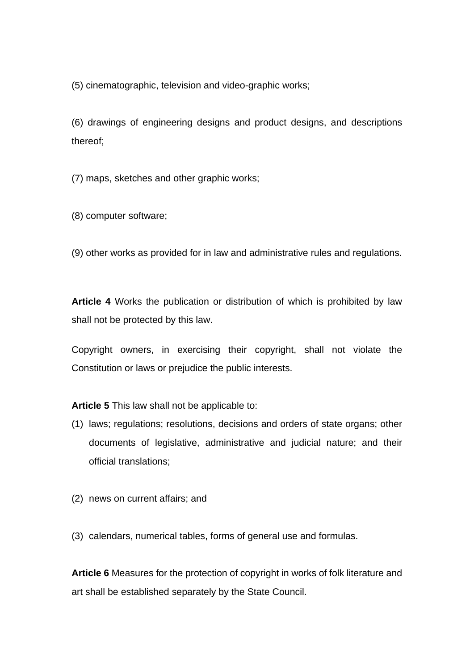(5) cinematographic, television and video-graphic works;

(6) drawings of engineering designs and product designs, and descriptions thereof;

(7) maps, sketches and other graphic works;

(8) computer software;

(9) other works as provided for in law and administrative rules and regulations.

**Article 4** Works the publication or distribution of which is prohibited by law shall not be protected by this law.

Copyright owners, in exercising their copyright, shall not violate the Constitution or laws or prejudice the public interests.

**Article 5** This law shall not be applicable to:

- (1) laws; regulations; resolutions, decisions and orders of state organs; other documents of legislative, administrative and judicial nature; and their official translations;
- (2) news on current affairs; and
- (3) calendars, numerical tables, forms of general use and formulas.

**Article 6** Measures for the protection of copyright in works of folk literature and art shall be established separately by the State Council.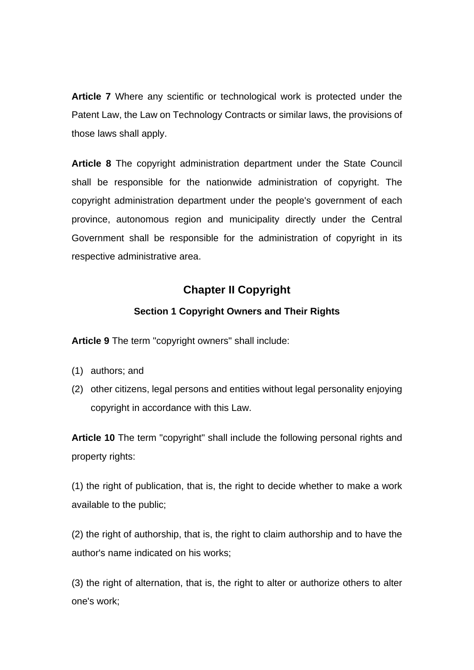**Article 7** Where any scientific or technological work is protected under the Patent Law, the Law on Technology Contracts or similar laws, the provisions of those laws shall apply.

**Article 8** The copyright administration department under the State Council shall be responsible for the nationwide administration of copyright. The copyright administration department under the people's government of each province, autonomous region and municipality directly under the Central Government shall be responsible for the administration of copyright in its respective administrative area.

# **Chapter II Copyright**

### **Section 1 Copyright Owners and Their Rights**

**Article 9** The term "copyright owners" shall include:

- (1) authors; and
- (2) other citizens, legal persons and entities without legal personality enjoying copyright in accordance with this Law.

**Article 10** The term "copyright" shall include the following personal rights and property rights:

(1) the right of publication, that is, the right to decide whether to make a work available to the public;

(2) the right of authorship, that is, the right to claim authorship and to have the author's name indicated on his works;

(3) the right of alternation, that is, the right to alter or authorize others to alter one's work;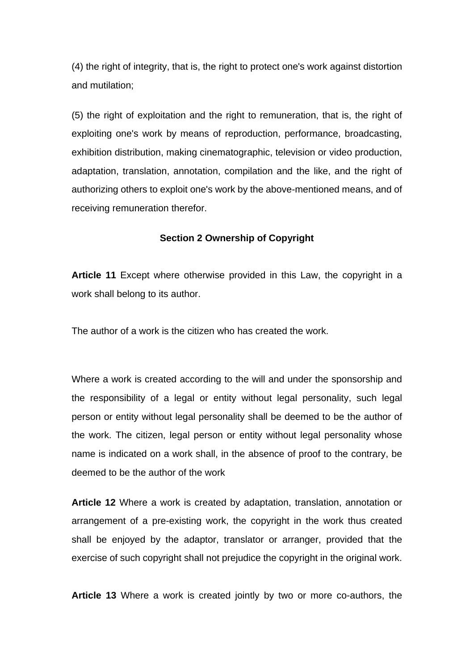(4) the right of integrity, that is, the right to protect one's work against distortion and mutilation;

(5) the right of exploitation and the right to remuneration, that is, the right of exploiting one's work by means of reproduction, performance, broadcasting, exhibition distribution, making cinematographic, television or video production, adaptation, translation, annotation, compilation and the like, and the right of authorizing others to exploit one's work by the above-mentioned means, and of receiving remuneration therefor.

#### **Section 2 Ownership of Copyright**

**Article 11** Except where otherwise provided in this Law, the copyright in a work shall belong to its author.

The author of a work is the citizen who has created the work.

Where a work is created according to the will and under the sponsorship and the responsibility of a legal or entity without legal personality, such legal person or entity without legal personality shall be deemed to be the author of the work. The citizen, legal person or entity without legal personality whose name is indicated on a work shall, in the absence of proof to the contrary, be deemed to be the author of the work

**Article 12** Where a work is created by adaptation, translation, annotation or arrangement of a pre-existing work, the copyright in the work thus created shall be enjoyed by the adaptor, translator or arranger, provided that the exercise of such copyright shall not prejudice the copyright in the original work.

**Article 13** Where a work is created jointly by two or more co-authors, the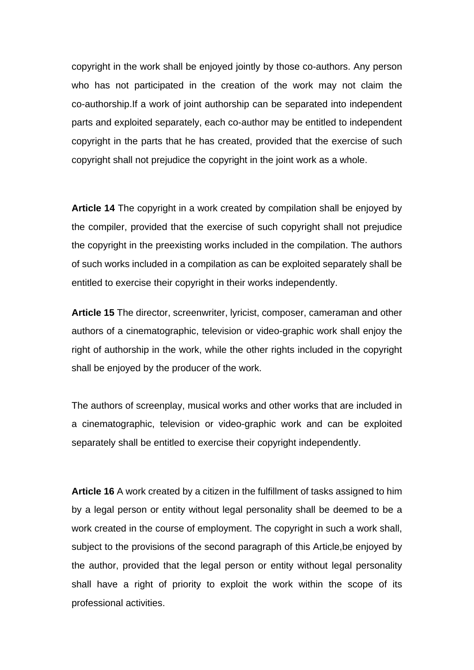copyright in the work shall be enjoyed jointly by those co-authors. Any person who has not participated in the creation of the work may not claim the co-authorship.If a work of joint authorship can be separated into independent parts and exploited separately, each co-author may be entitled to independent copyright in the parts that he has created, provided that the exercise of such copyright shall not prejudice the copyright in the joint work as a whole.

**Article 14** The copyright in a work created by compilation shall be enjoyed by the compiler, provided that the exercise of such copyright shall not prejudice the copyright in the preexisting works included in the compilation. The authors of such works included in a compilation as can be exploited separately shall be entitled to exercise their copyright in their works independently.

**Article 15** The director, screenwriter, lyricist, composer, cameraman and other authors of a cinematographic, television or video-graphic work shall enjoy the right of authorship in the work, while the other rights included in the copyright shall be enjoyed by the producer of the work.

The authors of screenplay, musical works and other works that are included in a cinematographic, television or video-graphic work and can be exploited separately shall be entitled to exercise their copyright independently.

**Article 16** A work created by a citizen in the fulfillment of tasks assigned to him by a legal person or entity without legal personality shall be deemed to be a work created in the course of employment. The copyright in such a work shall, subject to the provisions of the second paragraph of this Article,be enjoyed by the author, provided that the legal person or entity without legal personality shall have a right of priority to exploit the work within the scope of its professional activities.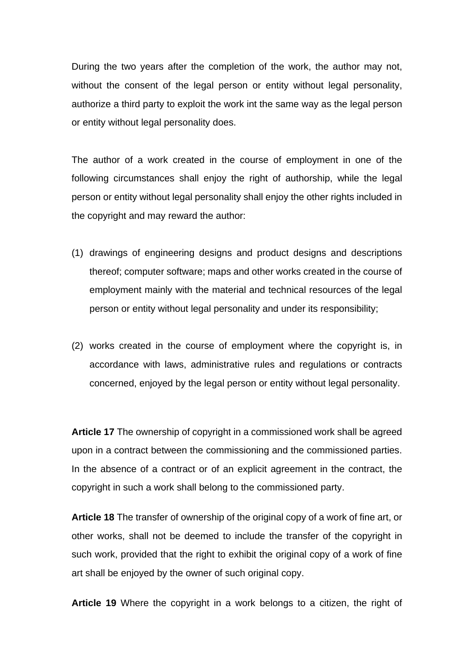During the two years after the completion of the work, the author may not, without the consent of the legal person or entity without legal personality, authorize a third party to exploit the work int the same way as the legal person or entity without legal personality does.

The author of a work created in the course of employment in one of the following circumstances shall enjoy the right of authorship, while the legal person or entity without legal personality shall enjoy the other rights included in the copyright and may reward the author:

- (1) drawings of engineering designs and product designs and descriptions thereof; computer software; maps and other works created in the course of employment mainly with the material and technical resources of the legal person or entity without legal personality and under its responsibility;
- (2) works created in the course of employment where the copyright is, in accordance with laws, administrative rules and regulations or contracts concerned, enjoyed by the legal person or entity without legal personality.

**Article 17** The ownership of copyright in a commissioned work shall be agreed upon in a contract between the commissioning and the commissioned parties. In the absence of a contract or of an explicit agreement in the contract, the copyright in such a work shall belong to the commissioned party.

**Article 18** The transfer of ownership of the original copy of a work of fine art, or other works, shall not be deemed to include the transfer of the copyright in such work, provided that the right to exhibit the original copy of a work of fine art shall be enjoyed by the owner of such original copy.

**Article 19** Where the copyright in a work belongs to a citizen, the right of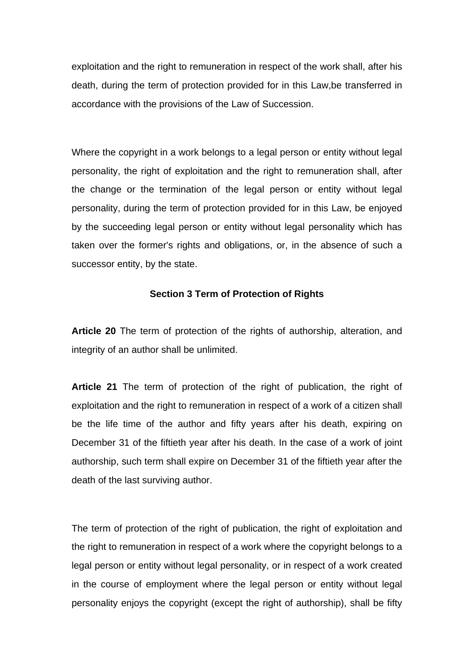exploitation and the right to remuneration in respect of the work shall, after his death, during the term of protection provided for in this Law,be transferred in accordance with the provisions of the Law of Succession.

Where the copyright in a work belongs to a legal person or entity without legal personality, the right of exploitation and the right to remuneration shall, after the change or the termination of the legal person or entity without legal personality, during the term of protection provided for in this Law, be enjoyed by the succeeding legal person or entity without legal personality which has taken over the former's rights and obligations, or, in the absence of such a successor entity, by the state.

#### **Section 3 Term of Protection of Rights**

**Article 20** The term of protection of the rights of authorship, alteration, and integrity of an author shall be unlimited.

**Article 21** The term of protection of the right of publication, the right of exploitation and the right to remuneration in respect of a work of a citizen shall be the life time of the author and fifty years after his death, expiring on December 31 of the fiftieth year after his death. In the case of a work of joint authorship, such term shall expire on December 31 of the fiftieth year after the death of the last surviving author.

The term of protection of the right of publication, the right of exploitation and the right to remuneration in respect of a work where the copyright belongs to a legal person or entity without legal personality, or in respect of a work created in the course of employment where the legal person or entity without legal personality enjoys the copyright (except the right of authorship), shall be fifty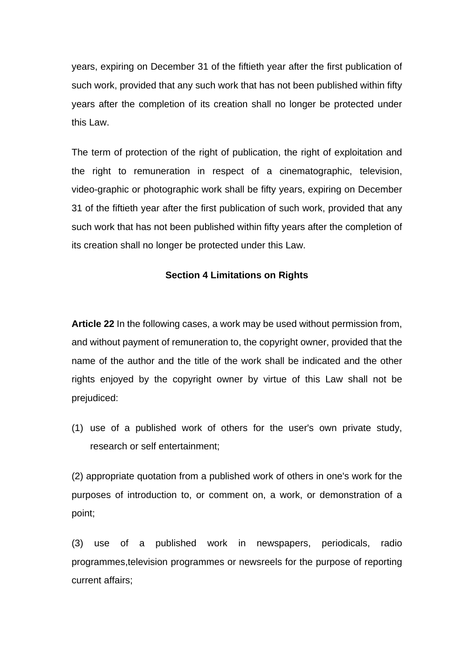years, expiring on December 31 of the fiftieth year after the first publication of such work, provided that any such work that has not been published within fifty years after the completion of its creation shall no longer be protected under this Law.

The term of protection of the right of publication, the right of exploitation and the right to remuneration in respect of a cinematographic, television, video-graphic or photographic work shall be fifty years, expiring on December 31 of the fiftieth year after the first publication of such work, provided that any such work that has not been published within fifty years after the completion of its creation shall no longer be protected under this Law.

### **Section 4 Limitations on Rights**

**Article 22** In the following cases, a work may be used without permission from, and without payment of remuneration to, the copyright owner, provided that the name of the author and the title of the work shall be indicated and the other rights enjoyed by the copyright owner by virtue of this Law shall not be prejudiced:

(1) use of a published work of others for the user's own private study, research or self entertainment;

(2) appropriate quotation from a published work of others in one's work for the purposes of introduction to, or comment on, a work, or demonstration of a point;

(3) use of a published work in newspapers, periodicals, radio programmes,television programmes or newsreels for the purpose of reporting current affairs;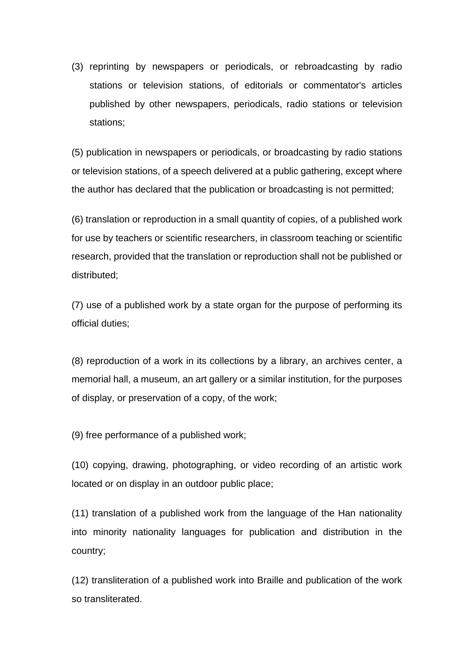(3) reprinting by newspapers or periodicals, or rebroadcasting by radio stations or television stations, of editorials or commentator's articles published by other newspapers, periodicals, radio stations or television stations;

(5) publication in newspapers or periodicals, or broadcasting by radio stations or television stations, of a speech delivered at a public gathering, except where the author has declared that the publication or broadcasting is not permitted;

(6) translation or reproduction in a small quantity of copies, of a published work for use by teachers or scientific researchers, in classroom teaching or scientific research, provided that the translation or reproduction shall not be published or distributed;

(7) use of a published work by a state organ for the purpose of performing its official duties;

(8) reproduction of a work in its collections by a library, an archives center, a memorial hall, a museum, an art gallery or a similar institution, for the purposes of display, or preservation of a copy, of the work;

(9) free performance of a published work;

(10) copying, drawing, photographing, or video recording of an artistic work located or on display in an outdoor public place;

(11) translation of a published work from the language of the Han nationality into minority nationality languages for publication and distribution in the country;

(12) transliteration of a published work into Braille and publication of the work so transliterated.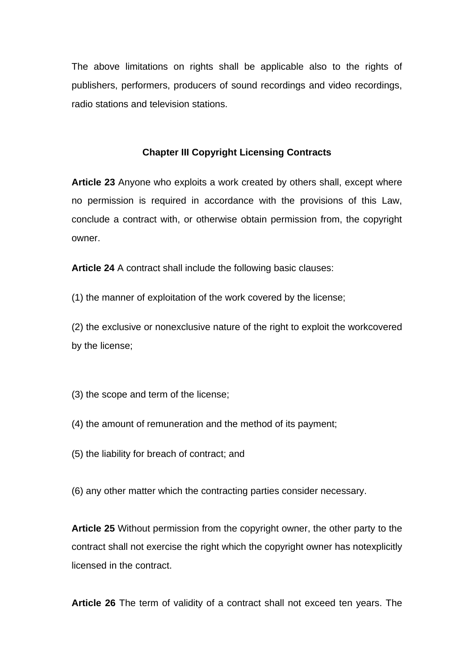The above limitations on rights shall be applicable also to the rights of publishers, performers, producers of sound recordings and video recordings, radio stations and television stations.

#### **Chapter III Copyright Licensing Contracts**

**Article 23** Anyone who exploits a work created by others shall, except where no permission is required in accordance with the provisions of this Law, conclude a contract with, or otherwise obtain permission from, the copyright owner.

**Article 24** A contract shall include the following basic clauses:

(1) the manner of exploitation of the work covered by the license;

(2) the exclusive or nonexclusive nature of the right to exploit the workcovered by the license;

(3) the scope and term of the license;

- (4) the amount of remuneration and the method of its payment;
- (5) the liability for breach of contract; and

(6) any other matter which the contracting parties consider necessary.

**Article 25** Without permission from the copyright owner, the other party to the contract shall not exercise the right which the copyright owner has notexplicitly licensed in the contract.

**Article 26** The term of validity of a contract shall not exceed ten years. The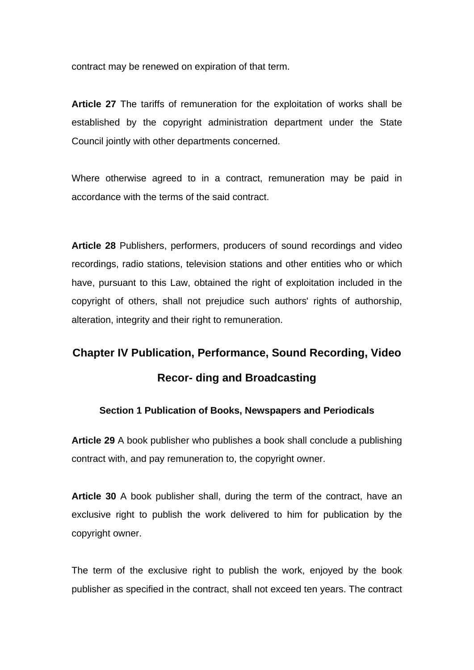contract may be renewed on expiration of that term.

**Article 27** The tariffs of remuneration for the exploitation of works shall be established by the copyright administration department under the State Council jointly with other departments concerned.

Where otherwise agreed to in a contract, remuneration may be paid in accordance with the terms of the said contract.

**Article 28** Publishers, performers, producers of sound recordings and video recordings, radio stations, television stations and other entities who or which have, pursuant to this Law, obtained the right of exploitation included in the copyright of others, shall not prejudice such authors' rights of authorship, alteration, integrity and their right to remuneration.

# **Chapter IV Publication, Performance, Sound Recording, Video Recor- ding and Broadcasting**

### **Section 1 Publication of Books, Newspapers and Periodicals**

**Article 29** A book publisher who publishes a book shall conclude a publishing contract with, and pay remuneration to, the copyright owner.

**Article 30** A book publisher shall, during the term of the contract, have an exclusive right to publish the work delivered to him for publication by the copyright owner.

The term of the exclusive right to publish the work, enjoyed by the book publisher as specified in the contract, shall not exceed ten years. The contract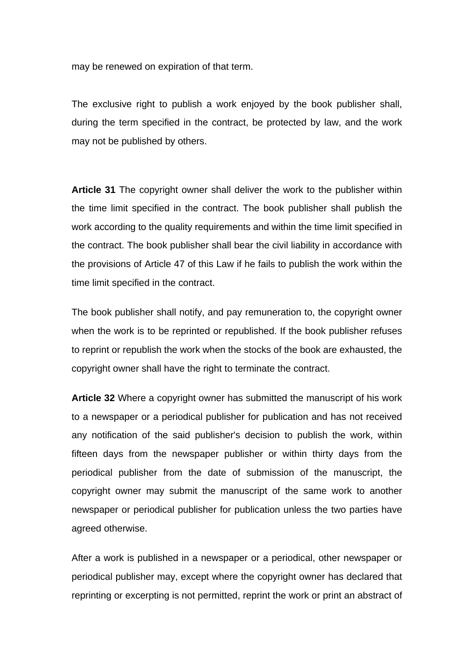may be renewed on expiration of that term.

The exclusive right to publish a work enjoyed by the book publisher shall, during the term specified in the contract, be protected by law, and the work may not be published by others.

**Article 31** The copyright owner shall deliver the work to the publisher within the time limit specified in the contract. The book publisher shall publish the work according to the quality requirements and within the time limit specified in the contract. The book publisher shall bear the civil liability in accordance with the provisions of Article 47 of this Law if he fails to publish the work within the time limit specified in the contract.

The book publisher shall notify, and pay remuneration to, the copyright owner when the work is to be reprinted or republished. If the book publisher refuses to reprint or republish the work when the stocks of the book are exhausted, the copyright owner shall have the right to terminate the contract.

**Article 32** Where a copyright owner has submitted the manuscript of his work to a newspaper or a periodical publisher for publication and has not received any notification of the said publisher's decision to publish the work, within fifteen days from the newspaper publisher or within thirty days from the periodical publisher from the date of submission of the manuscript, the copyright owner may submit the manuscript of the same work to another newspaper or periodical publisher for publication unless the two parties have agreed otherwise.

After a work is published in a newspaper or a periodical, other newspaper or periodical publisher may, except where the copyright owner has declared that reprinting or excerpting is not permitted, reprint the work or print an abstract of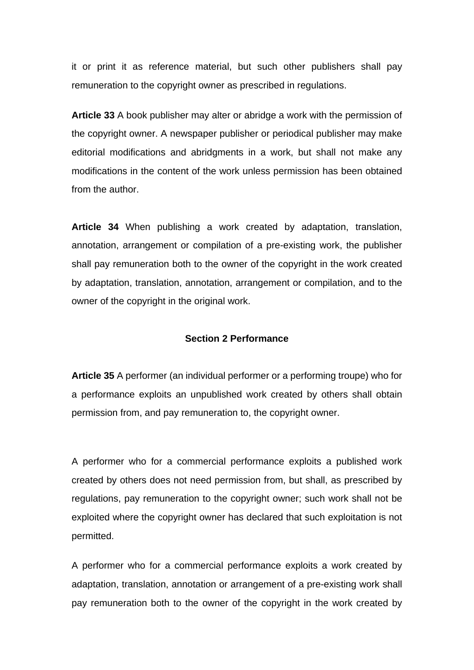it or print it as reference material, but such other publishers shall pay remuneration to the copyright owner as prescribed in regulations.

**Article 33** A book publisher may alter or abridge a work with the permission of the copyright owner. A newspaper publisher or periodical publisher may make editorial modifications and abridgments in a work, but shall not make any modifications in the content of the work unless permission has been obtained from the author.

**Article 34** When publishing a work created by adaptation, translation, annotation, arrangement or compilation of a pre-existing work, the publisher shall pay remuneration both to the owner of the copyright in the work created by adaptation, translation, annotation, arrangement or compilation, and to the owner of the copyright in the original work.

#### **Section 2 Performance**

**Article 35** A performer (an individual performer or a performing troupe) who for a performance exploits an unpublished work created by others shall obtain permission from, and pay remuneration to, the copyright owner.

A performer who for a commercial performance exploits a published work created by others does not need permission from, but shall, as prescribed by regulations, pay remuneration to the copyright owner; such work shall not be exploited where the copyright owner has declared that such exploitation is not permitted.

A performer who for a commercial performance exploits a work created by adaptation, translation, annotation or arrangement of a pre-existing work shall pay remuneration both to the owner of the copyright in the work created by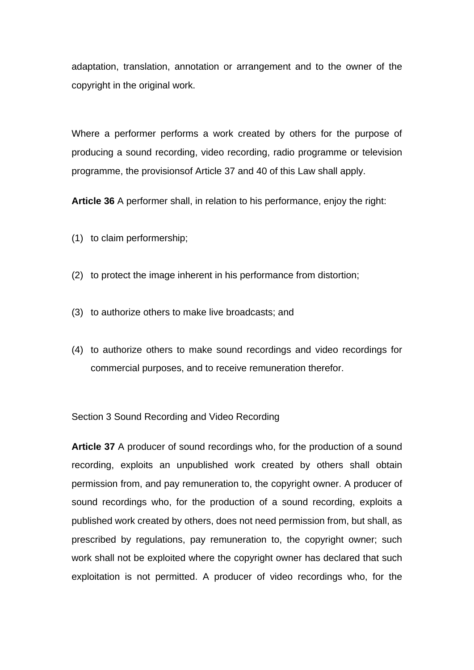adaptation, translation, annotation or arrangement and to the owner of the copyright in the original work.

Where a performer performs a work created by others for the purpose of producing a sound recording, video recording, radio programme or television programme, the provisionsof Article 37 and 40 of this Law shall apply.

**Article 36** A performer shall, in relation to his performance, enjoy the right:

- (1) to claim performership;
- (2) to protect the image inherent in his performance from distortion;
- (3) to authorize others to make live broadcasts; and
- (4) to authorize others to make sound recordings and video recordings for commercial purposes, and to receive remuneration therefor.

Section 3 Sound Recording and Video Recording

**Article 37** A producer of sound recordings who, for the production of a sound recording, exploits an unpublished work created by others shall obtain permission from, and pay remuneration to, the copyright owner. A producer of sound recordings who, for the production of a sound recording, exploits a published work created by others, does not need permission from, but shall, as prescribed by regulations, pay remuneration to, the copyright owner; such work shall not be exploited where the copyright owner has declared that such exploitation is not permitted. A producer of video recordings who, for the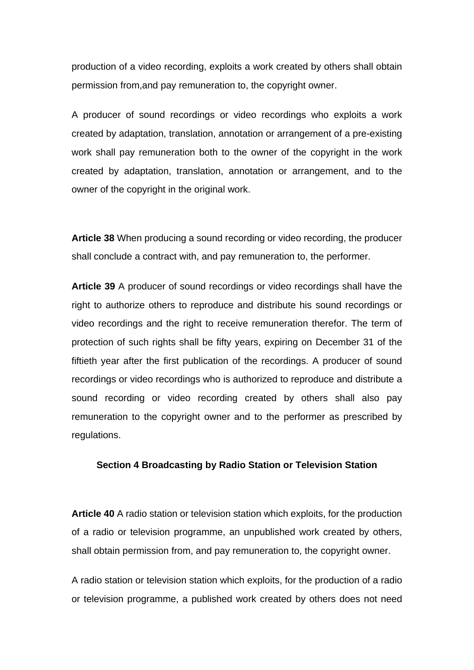production of a video recording, exploits a work created by others shall obtain permission from,and pay remuneration to, the copyright owner.

A producer of sound recordings or video recordings who exploits a work created by adaptation, translation, annotation or arrangement of a pre-existing work shall pay remuneration both to the owner of the copyright in the work created by adaptation, translation, annotation or arrangement, and to the owner of the copyright in the original work.

**Article 38** When producing a sound recording or video recording, the producer shall conclude a contract with, and pay remuneration to, the performer.

**Article 39** A producer of sound recordings or video recordings shall have the right to authorize others to reproduce and distribute his sound recordings or video recordings and the right to receive remuneration therefor. The term of protection of such rights shall be fifty years, expiring on December 31 of the fiftieth year after the first publication of the recordings. A producer of sound recordings or video recordings who is authorized to reproduce and distribute a sound recording or video recording created by others shall also pay remuneration to the copyright owner and to the performer as prescribed by regulations.

#### **Section 4 Broadcasting by Radio Station or Television Station**

**Article 40** A radio station or television station which exploits, for the production of a radio or television programme, an unpublished work created by others, shall obtain permission from, and pay remuneration to, the copyright owner.

A radio station or television station which exploits, for the production of a radio or television programme, a published work created by others does not need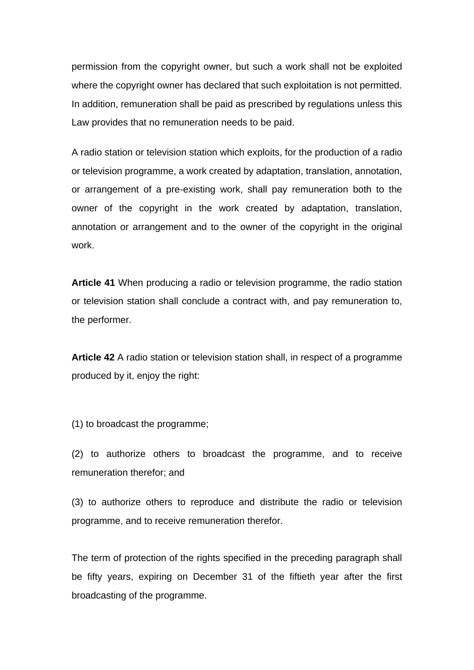permission from the copyright owner, but such a work shall not be exploited where the copyright owner has declared that such exploitation is not permitted. In addition, remuneration shall be paid as prescribed by regulations unless this Law provides that no remuneration needs to be paid.

A radio station or television station which exploits, for the production of a radio or television programme, a work created by adaptation, translation, annotation, or arrangement of a pre-existing work, shall pay remuneration both to the owner of the copyright in the work created by adaptation, translation, annotation or arrangement and to the owner of the copyright in the original work.

**Article 41** When producing a radio or television programme, the radio station or television station shall conclude a contract with, and pay remuneration to, the performer.

**Article 42** A radio station or television station shall, in respect of a programme produced by it, enjoy the right:

(1) to broadcast the programme;

(2) to authorize others to broadcast the programme, and to receive remuneration therefor; and

(3) to authorize others to reproduce and distribute the radio or television programme, and to receive remuneration therefor.

The term of protection of the rights specified in the preceding paragraph shall be fifty years, expiring on December 31 of the fiftieth year after the first broadcasting of the programme.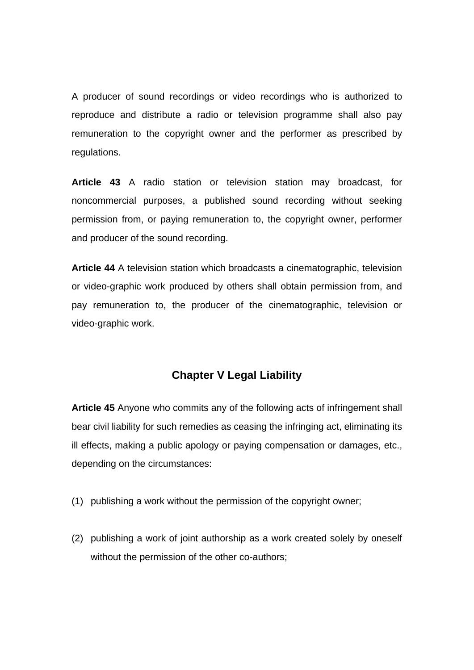A producer of sound recordings or video recordings who is authorized to reproduce and distribute a radio or television programme shall also pay remuneration to the copyright owner and the performer as prescribed by regulations.

**Article 43** A radio station or television station may broadcast, for noncommercial purposes, a published sound recording without seeking permission from, or paying remuneration to, the copyright owner, performer and producer of the sound recording.

**Article 44** A television station which broadcasts a cinematographic, television or video-graphic work produced by others shall obtain permission from, and pay remuneration to, the producer of the cinematographic, television or video-graphic work.

### **Chapter V Legal Liability**

**Article 45** Anyone who commits any of the following acts of infringement shall bear civil liability for such remedies as ceasing the infringing act, eliminating its ill effects, making a public apology or paying compensation or damages, etc., depending on the circumstances:

- (1) publishing a work without the permission of the copyright owner;
- (2) publishing a work of joint authorship as a work created solely by oneself without the permission of the other co-authors;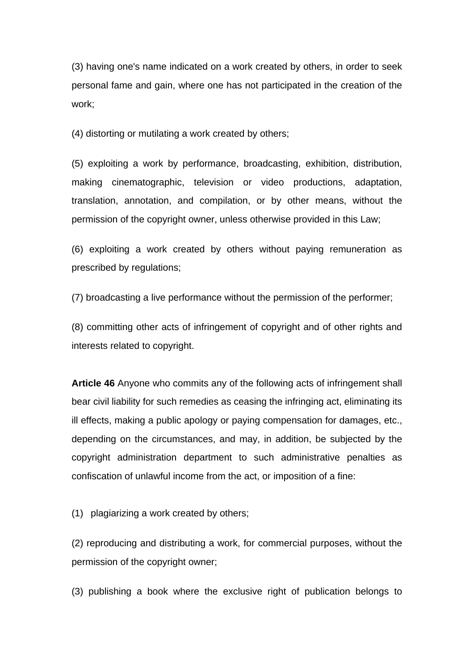(3) having one's name indicated on a work created by others, in order to seek personal fame and gain, where one has not participated in the creation of the work;

(4) distorting or mutilating a work created by others;

(5) exploiting a work by performance, broadcasting, exhibition, distribution, making cinematographic, television or video productions, adaptation, translation, annotation, and compilation, or by other means, without the permission of the copyright owner, unless otherwise provided in this Law;

(6) exploiting a work created by others without paying remuneration as prescribed by regulations;

(7) broadcasting a live performance without the permission of the performer;

(8) committing other acts of infringement of copyright and of other rights and interests related to copyright.

**Article 46** Anyone who commits any of the following acts of infringement shall bear civil liability for such remedies as ceasing the infringing act, eliminating its ill effects, making a public apology or paying compensation for damages, etc., depending on the circumstances, and may, in addition, be subjected by the copyright administration department to such administrative penalties as confiscation of unlawful income from the act, or imposition of a fine:

(1) plagiarizing a work created by others;

(2) reproducing and distributing a work, for commercial purposes, without the permission of the copyright owner;

(3) publishing a book where the exclusive right of publication belongs to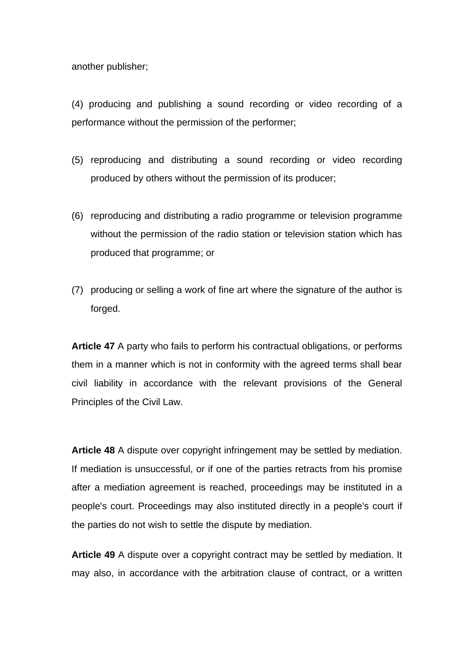another publisher;

(4) producing and publishing a sound recording or video recording of a performance without the permission of the performer;

- (5) reproducing and distributing a sound recording or video recording produced by others without the permission of its producer;
- (6) reproducing and distributing a radio programme or television programme without the permission of the radio station or television station which has produced that programme; or
- (7) producing or selling a work of fine art where the signature of the author is forged.

**Article 47** A party who fails to perform his contractual obligations, or performs them in a manner which is not in conformity with the agreed terms shall bear civil liability in accordance with the relevant provisions of the General Principles of the Civil Law.

**Article 48** A dispute over copyright infringement may be settled by mediation. If mediation is unsuccessful, or if one of the parties retracts from his promise after a mediation agreement is reached, proceedings may be instituted in a people's court. Proceedings may also instituted directly in a people's court if the parties do not wish to settle the dispute by mediation.

**Article 49** A dispute over a copyright contract may be settled by mediation. It may also, in accordance with the arbitration clause of contract, or a written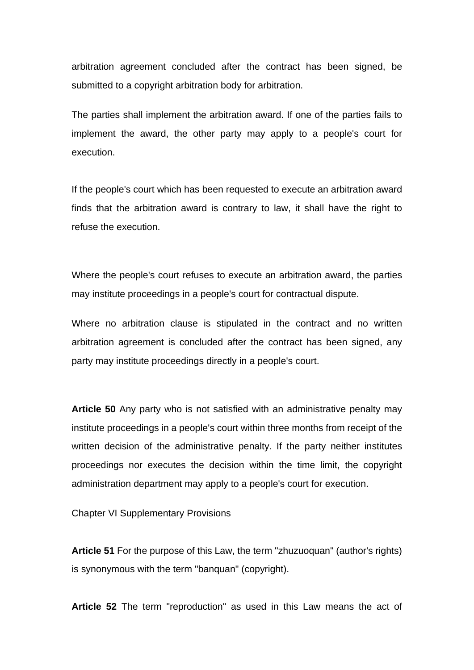arbitration agreement concluded after the contract has been signed, be submitted to a copyright arbitration body for arbitration.

The parties shall implement the arbitration award. If one of the parties fails to implement the award, the other party may apply to a people's court for execution.

If the people's court which has been requested to execute an arbitration award finds that the arbitration award is contrary to law, it shall have the right to refuse the execution.

Where the people's court refuses to execute an arbitration award, the parties may institute proceedings in a people's court for contractual dispute.

Where no arbitration clause is stipulated in the contract and no written arbitration agreement is concluded after the contract has been signed, any party may institute proceedings directly in a people's court.

**Article 50** Any party who is not satisfied with an administrative penalty may institute proceedings in a people's court within three months from receipt of the written decision of the administrative penalty. If the party neither institutes proceedings nor executes the decision within the time limit, the copyright administration department may apply to a people's court for execution.

Chapter VI Supplementary Provisions

**Article 51** For the purpose of this Law, the term "zhuzuoquan" (author's rights) is synonymous with the term "banquan" (copyright).

**Article 52** The term "reproduction" as used in this Law means the act of